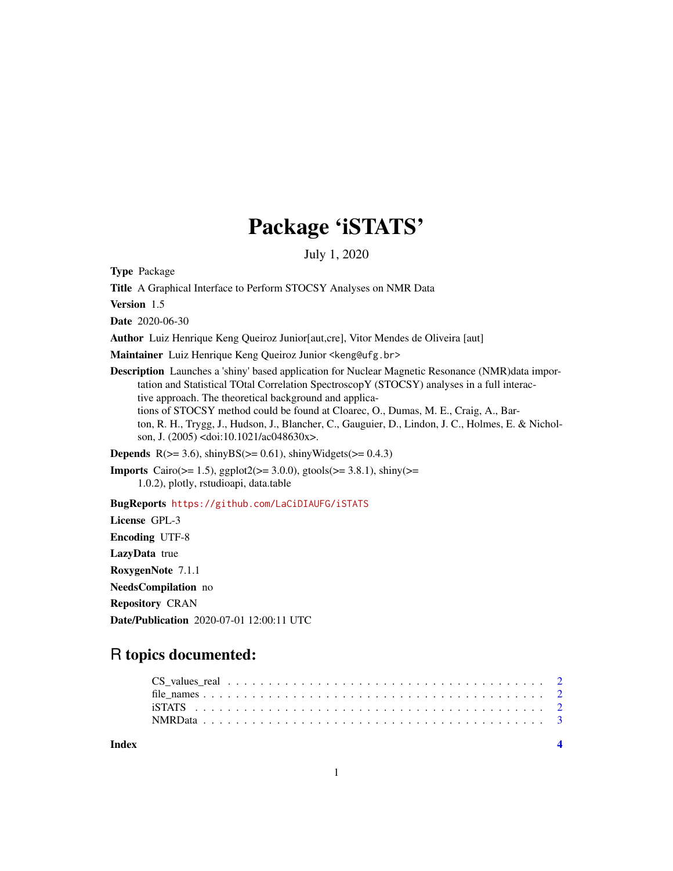## Package 'iSTATS'

July 1, 2020

Type Package

Title A Graphical Interface to Perform STOCSY Analyses on NMR Data

Version 1.5

Date 2020-06-30

Author Luiz Henrique Keng Queiroz Junior[aut,cre], Vitor Mendes de Oliveira [aut]

Maintainer Luiz Henrique Keng Queiroz Junior <keng@ufg.br>

Description Launches a 'shiny' based application for Nuclear Magnetic Resonance (NMR)data importation and Statistical TOtal Correlation SpectroscopY (STOCSY) analyses in a full interactive approach. The theoretical background and applications of STOCSY method could be found at Cloarec, O., Dumas, M. E., Craig, A., Barton, R. H., Trygg, J., Hudson, J., Blancher, C., Gauguier, D., Lindon, J. C., Holmes, E. & Nicholson, J. (2005) <doi:10.1021/ac048630x>.

**Depends** R( $>= 3.6$ ), shinyBS( $>= 0.61$ ), shinyWidgets( $>= 0.4.3$ )

Imports Cairo(>= 1.5), ggplot2(>= 3.0.0), gtools(>= 3.8.1), shiny(>= 1.0.2), plotly, rstudioapi, data.table

BugReports <https://github.com/LaCiDIAUFG/iSTATS>

License GPL-3 Encoding UTF-8 LazyData true RoxygenNote 7.1.1 NeedsCompilation no Repository CRAN Date/Publication 2020-07-01 12:00:11 UTC

## R topics documented:

| Index |  |  |  |  |  |  |  |  |  |  |  |  |  |  |  |  |  |
|-------|--|--|--|--|--|--|--|--|--|--|--|--|--|--|--|--|--|
|       |  |  |  |  |  |  |  |  |  |  |  |  |  |  |  |  |  |
|       |  |  |  |  |  |  |  |  |  |  |  |  |  |  |  |  |  |
|       |  |  |  |  |  |  |  |  |  |  |  |  |  |  |  |  |  |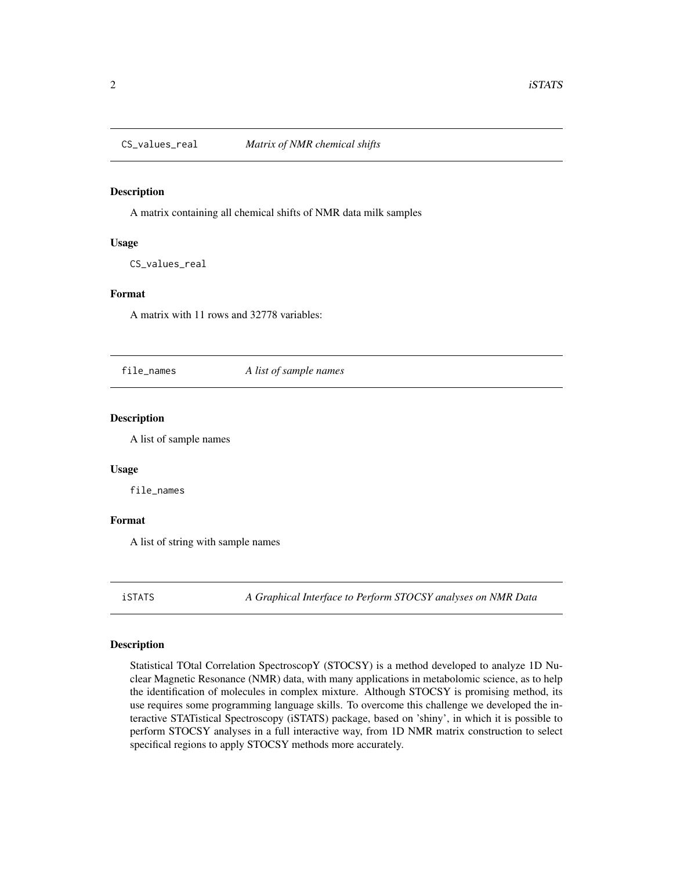<span id="page-1-0"></span>

#### Description

A matrix containing all chemical shifts of NMR data milk samples

#### Usage

CS\_values\_real

#### Format

A matrix with 11 rows and 32778 variables:

file\_names *A list of sample names*

#### Description

A list of sample names

#### Usage

file\_names

#### Format

A list of string with sample names

iSTATS *A Graphical Interface to Perform STOCSY analyses on NMR Data*

#### Description

Statistical TOtal Correlation SpectroscopY (STOCSY) is a method developed to analyze 1D Nuclear Magnetic Resonance (NMR) data, with many applications in metabolomic science, as to help the identification of molecules in complex mixture. Although STOCSY is promising method, its use requires some programming language skills. To overcome this challenge we developed the interactive STATistical Spectroscopy (iSTATS) package, based on 'shiny', in which it is possible to perform STOCSY analyses in a full interactive way, from 1D NMR matrix construction to select specifical regions to apply STOCSY methods more accurately.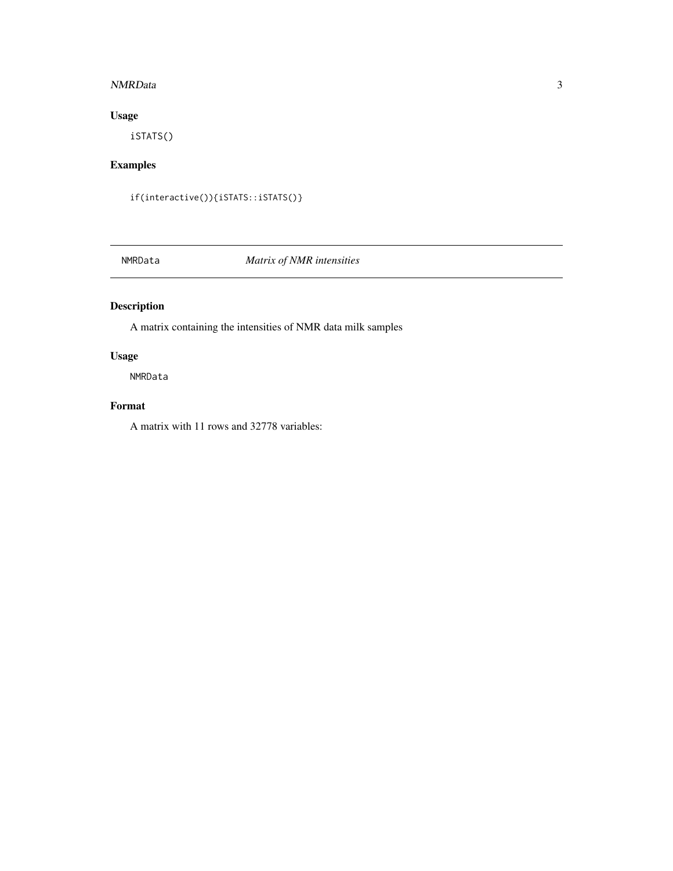#### <span id="page-2-0"></span>NMRData 3

#### Usage

iSTATS()

#### Examples

if(interactive()){iSTATS::iSTATS()}

NMRData *Matrix of NMR intensities*

### Description

A matrix containing the intensities of NMR data milk samples

#### Usage

NMRData

#### Format

A matrix with 11 rows and 32778 variables: